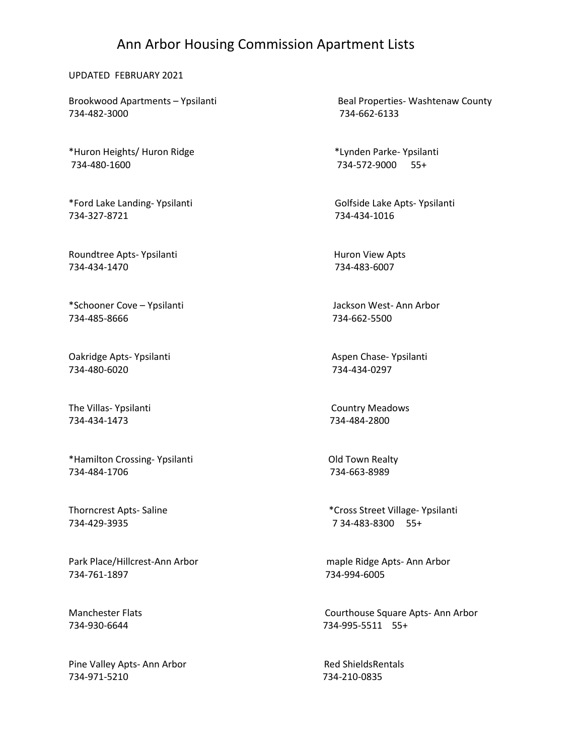## Ann Arbor Housing Commission Apartment Lists

## UPDATED FEBRUARY 2021

734-482-3000 734-662-6133

\*Huron Heights/ Huron Ridge \*Lynden Parke- Ypsilanti 734-480-1600 734-572-9000 55+

\*Ford Lake Landing- Ypsilanti Golfside Lake Apts- Ypsilanti 734-327-8721 734-434-1016

Roundtree Apts- Ypsilanti Huron View Apts 734-434-1470 734-483-6007

\*Schooner Cove – Ypsilanti Jackson West- Ann Arbor 734-485-8666 734-662-5500

Oakridge Apts- Ypsilanti Aspen Chase- Ypsilanti Aspen Chase- Ypsilanti 734-480-6020 734-434-0297

The Villas- Ypsilanti **Country Meadows** 734-434-1473 734-484-2800

\*Hamilton Crossing- Ypsilanti Old Town Realty 734-484-1706 734-663-8989

734-429-3935 7 34-483-8300 55+

Park Place/Hillcrest-Ann Arbor maple Ridge Apts- Ann Arbor 734-761-1897 734-994-6005

Pine Valley Apts- Ann Arbor **Red ShieldsRentals** 734-971-5210 734-210-0835

Brookwood Apartments – Ypsilanti Beal Properties- Washtenaw County

Thorncrest Apts- Saline \*Cross Street Village- Ypsilanti

Manchester Flats Courthouse Square Apts- Ann Arbor 734-930-6644 734-995-5511 55+